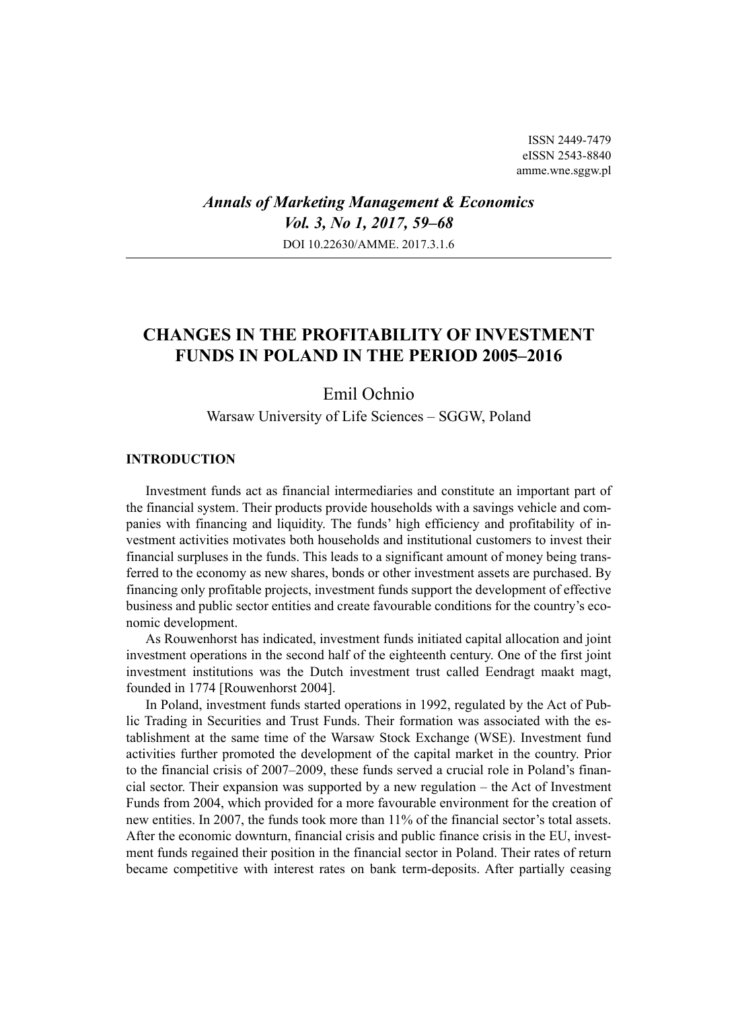ISSN 2449-7479 eISSN 2543-8840 amme.wne.sggw.pl

*Annals of Marketing Management & Economics Vol. 3, No 1, 2017, 59–68* DOI 10.22630/AMME. 2017.3.1.6

# **CHANGES IN THE PROFITABILITY OF INVESTMENT FUNDS IN POLAND IN THE PERIOD 2005–2016**

# Emil Ochnio

Warsaw University of Life Sciences – SGGW, Poland

### **INTRODUCTION**

Investment funds act as financial intermediaries and constitute an important part of the financial system. Their products provide households with a savings vehicle and companies with financing and liquidity. The funds' high efficiency and profitability of investment activities motivates both households and institutional customers to invest their financial surpluses in the funds. This leads to a significant amount of money being transferred to the economy as new shares, bonds or other investment assets are purchased. By financing only profitable projects, investment funds support the development of effective business and public sector entities and create favourable conditions for the country's economic development.

As Rouwenhorst has indicated, investment funds initiated capital allocation and joint investment operations in the second half of the eighteenth century. One of the first joint investment institutions was the Dutch investment trust called Eendragt maakt magt, founded in 1774 [Rouwenhorst 2004].

In Poland, investment funds started operations in 1992, regulated by the Act of Public Trading in Securities and Trust Funds. Their formation was associated with the establishment at the same time of the Warsaw Stock Exchange (WSE). Investment fund activities further promoted the development of the capital market in the country. Prior to the financial crisis of 2007–2009, these funds served a crucial role in Poland's financial sector. Their expansion was supported by a new regulation – the Act of Investment Funds from 2004, which provided for a more favourable environment for the creation of new entities. In 2007, the funds took more than 11% of the financial sector's total assets. After the economic downturn, financial crisis and public finance crisis in the EU, investment funds regained their position in the financial sector in Poland. Their rates of return became competitive with interest rates on bank term-deposits. After partially ceasing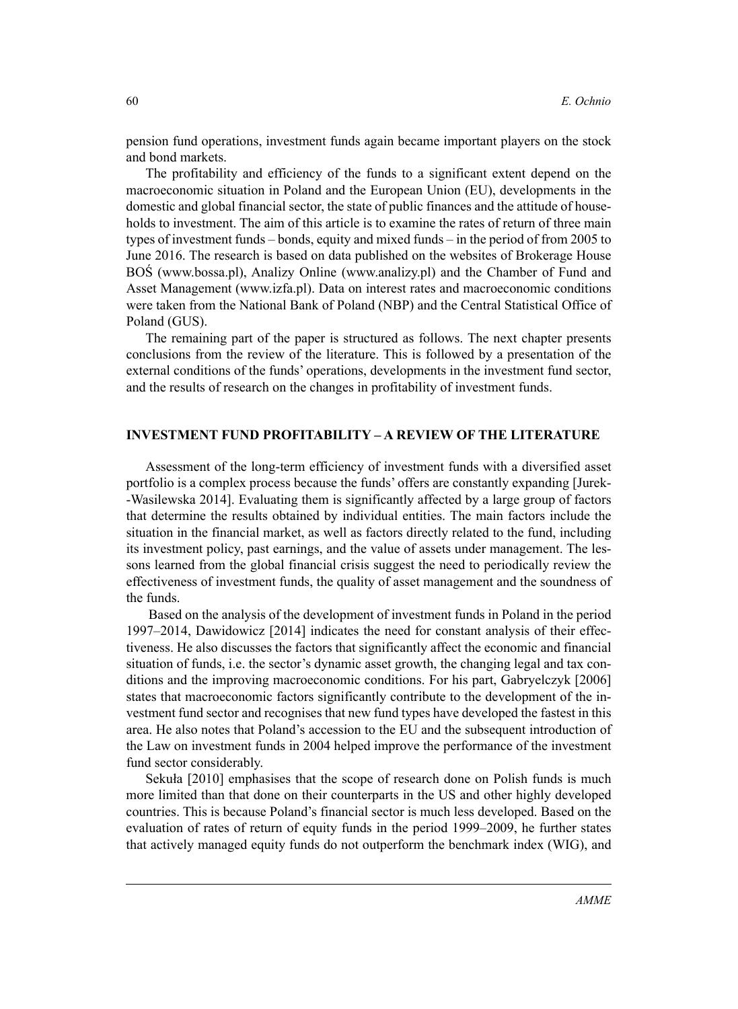pension fund operations, investment funds again became important players on the stock and bond markets.

The profitability and efficiency of the funds to a significant extent depend on the macroeconomic situation in Poland and the European Union (EU), developments in the domestic and global financial sector, the state of public finances and the attitude of households to investment. The aim of this article is to examine the rates of return of three main types of investment funds – bonds, equity and mixed funds – in the period of from 2005 to June 2016. The research is based on data published on the websites of Brokerage House BOŚ (www.bossa.pl), Analizy Online (www.analizy.pl) and the Chamber of Fund and Asset Management (www.izfa.pl). Data on interest rates and macroeconomic conditions were taken from the National Bank of Poland (NBP) and the Central Statistical Office of Poland (GUS).

The remaining part of the paper is structured as follows. The next chapter presents conclusions from the review of the literature. This is followed by a presentation of the external conditions of the funds' operations, developments in the investment fund sector, and the results of research on the changes in profitability of investment funds.

#### **INVESTMENT FUND PROFITABILITY – A REVIEW OF THE LITERATURE**

Assessment of the long-term efficiency of investment funds with a diversified asset portfolio is a complex process because the funds' offers are constantly expanding [Jurek- -Wasilewska 2014]. Evaluating them is significantly affected by a large group of factors that determine the results obtained by individual entities. The main factors include the situation in the financial market, as well as factors directly related to the fund, including its investment policy, past earnings, and the value of assets under management. The lessons learned from the global financial crisis suggest the need to periodically review the effectiveness of investment funds, the quality of asset management and the soundness of the funds.

 Based on the analysis of the development of investment funds in Poland in the period 1997–2014, Dawidowicz [2014] indicates the need for constant analysis of their effectiveness. He also discusses the factors that significantly affect the economic and financial situation of funds, i.e. the sector's dynamic asset growth, the changing legal and tax conditions and the improving macroeconomic conditions. For his part, Gabryelczyk [2006] states that macroeconomic factors significantly contribute to the development of the investment fund sector and recognises that new fund types have developed the fastest in this area. He also notes that Poland's accession to the EU and the subsequent introduction of the Law on investment funds in 2004 helped improve the performance of the investment fund sector considerably.

Sekuła [2010] emphasises that the scope of research done on Polish funds is much more limited than that done on their counterparts in the US and other highly developed countries. This is because Poland's financial sector is much less developed. Based on the evaluation of rates of return of equity funds in the period 1999–2009, he further states that actively managed equity funds do not outperform the benchmark index (WIG), and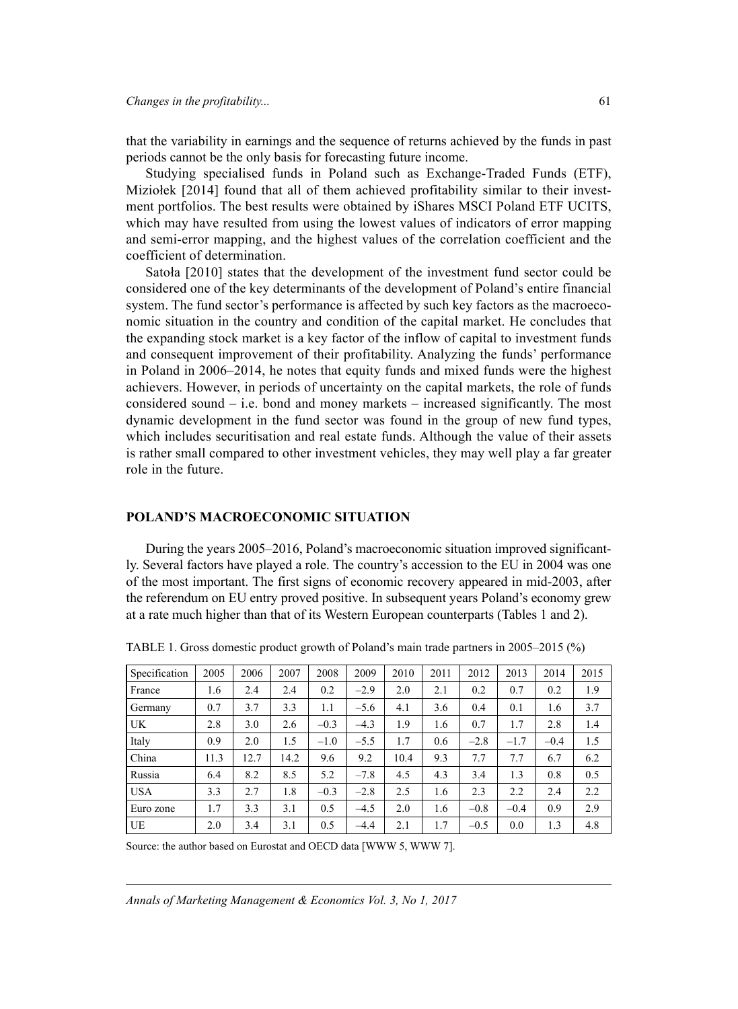that the variability in earnings and the sequence of returns achieved by the funds in past periods cannot be the only basis for forecasting future income.

Studying specialised funds in Poland such as Exchange-Traded Funds (ETF), Miziołek [2014] found that all of them achieved profitability similar to their investment portfolios. The best results were obtained by iShares MSCI Poland ETF UCITS, which may have resulted from using the lowest values of indicators of error mapping and semi-error mapping, and the highest values of the correlation coefficient and the coefficient of determination.

Satoła [2010] states that the development of the investment fund sector could be considered one of the key determinants of the development of Poland's entire financial system. The fund sector's performance is affected by such key factors as the macroeconomic situation in the country and condition of the capital market. He concludes that the expanding stock market is a key factor of the inflow of capital to investment funds and consequent improvement of their profitability. Analyzing the funds' performance in Poland in 2006–2014, he notes that equity funds and mixed funds were the highest achievers. However, in periods of uncertainty on the capital markets, the role of funds considered sound – i.e. bond and money markets – increased significantly. The most dynamic development in the fund sector was found in the group of new fund types, which includes securitisation and real estate funds. Although the value of their assets is rather small compared to other investment vehicles, they may well play a far greater role in the future.

#### **POLAND'S MACROECONOMIC SITUATION**

During the years 2005–2016, Poland's macroeconomic situation improved significantly. Several factors have played a role. The country's accession to the EU in 2004 was one of the most important. The first signs of economic recovery appeared in mid-2003, after the referendum on EU entry proved positive. In subsequent years Poland's economy grew at a rate much higher than that of its Western European counterparts (Tables 1 and 2).

| Specification | 2005 | 2006 | 2007 | 2008   | 2009   | 2010 | 2011 | 2012   | 2013   | 2014   | 2015 |
|---------------|------|------|------|--------|--------|------|------|--------|--------|--------|------|
| France        | 1.6  | 2.4  | 2.4  | 0.2    | $-2.9$ | 2.0  | 2.1  | 0.2    | 0.7    | 0.2    | 1.9  |
| Germany       | 0.7  | 3.7  | 3.3  | 1.1    | $-5.6$ | 4.1  | 3.6  | 0.4    | 0.1    | 1.6    | 3.7  |
| UK            | 2.8  | 3.0  | 2.6  | $-0.3$ | $-4.3$ | 1.9  | 1.6  | 0.7    | 1.7    | 2.8    | 1.4  |
| Italy         | 0.9  | 2.0  | 1.5  | $-1.0$ | $-5.5$ | 1.7  | 0.6  | $-2.8$ | $-1.7$ | $-0.4$ | 1.5  |
| China         | 11.3 | 12.7 | 14.2 | 9.6    | 9.2    | 10.4 | 9.3  | 7.7    | 7.7    | 6.7    | 6.2  |
| Russia        | 6.4  | 8.2  | 8.5  | 5.2    | $-7.8$ | 4.5  | 4.3  | 3.4    | 1.3    | 0.8    | 0.5  |
| <b>USA</b>    | 3.3  | 2.7  | 1.8  | $-0.3$ | $-2.8$ | 2.5  | 1.6  | 2.3    | 2.2    | 2.4    | 2.2  |
| Euro zone     | 1.7  | 3.3  | 3.1  | 0.5    | $-4.5$ | 2.0  | 1.6  | $-0.8$ | $-0.4$ | 0.9    | 2.9  |
| UE            | 2.0  | 3.4  | 3.1  | 0.5    | $-4.4$ | 2.1  | 1.7  | $-0.5$ | 0.0    | 1.3    | 4.8  |

TABLE 1. Gross domestic product growth of Poland's main trade partners in 2005–2015 (%)

Source: the author based on Eurostat and OECD data [WWW 5, WWW 7].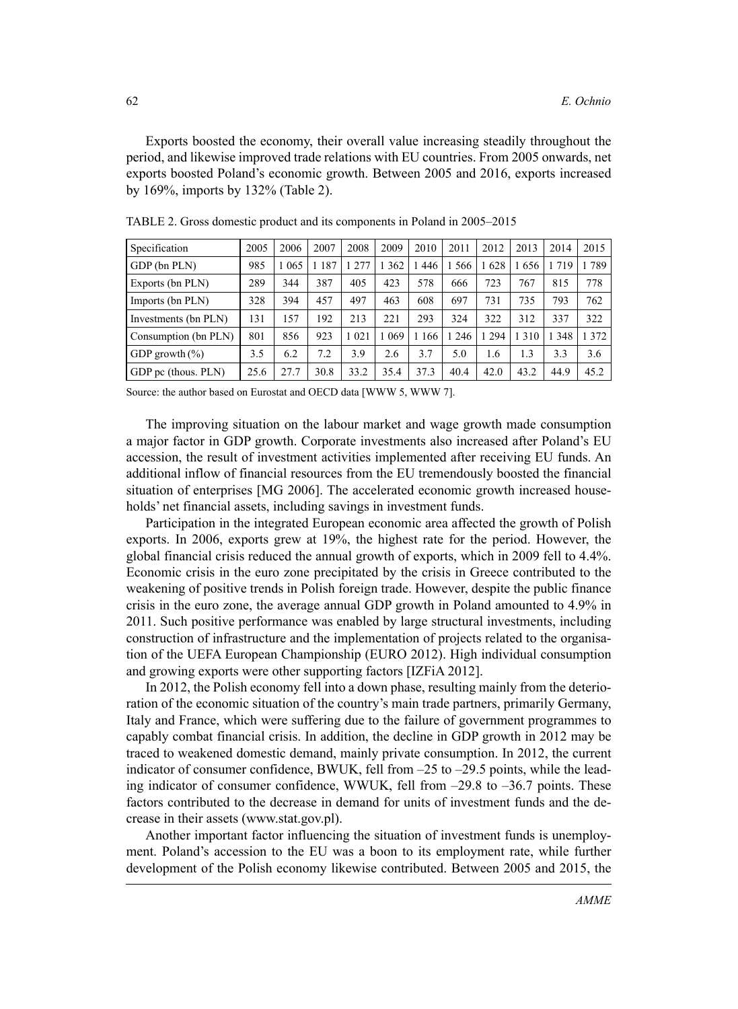Exports boosted the economy, their overall value increasing steadily throughout the period, and likewise improved trade relations with EU countries. From 2005 onwards, net exports boosted Poland's economic growth. Between 2005 and 2016, exports increased by 169%, imports by 132% (Table 2).

| Specification        | 2005 | 2006    | 2007 | 2008 | 2009 | 2010 | 2011    | 2012 | 2013 | 2014 | 2015 |
|----------------------|------|---------|------|------|------|------|---------|------|------|------|------|
| GDP (bn PLN)         | 985  | 1 0 6 5 | 187  | 277  | 362  | 446  | 1566    | 628  | 656  | 1719 | 789  |
| Exports (bn PLN)     | 289  | 344     | 387  | 405  | 423  | 578  | 666     | 723  | 767  | 815  | 778  |
| Imports (bn PLN)     | 328  | 394     | 457  | 497  | 463  | 608  | 697     | 731  | 735  | 793  | 762  |
| Investments (bn PLN) | 131  | 57ء     | 192  | 213  | 221  | 293  | 324     | 322  | 312  | 337  | 322  |
| Consumption (bn PLN) | 801  | 856     | 923  | 021  | 069  | 166  | 1 2 4 6 | 294  | 310  | 348  | 1372 |
| GDP growth $(\% )$   | 3.5  | 6.2     | 7.2  | 3.9  | 2.6  | 3.7  | 5.0     | 1.6  | 1.3  | 3.3  | 3.6  |
| GDP pc (thous. PLN)  | 25.6 | 27.7    | 30.8 | 33.2 | 35.4 | 37.3 | 40.4    | 42.0 | 43.2 | 44.9 | 45.2 |

TABLE 2. Gross domestic product and its components in Poland in 2005–2015

Source: the author based on Eurostat and OECD data [WWW 5, WWW 7].

The improving situation on the labour market and wage growth made consumption a major factor in GDP growth. Corporate investments also increased after Poland's EU accession, the result of investment activities implemented after receiving EU funds. An additional inflow of financial resources from the EU tremendously boosted the financial situation of enterprises [MG 2006]. The accelerated economic growth increased households' net financial assets, including savings in investment funds.

Participation in the integrated European economic area affected the growth of Polish exports. In 2006, exports grew at 19%, the highest rate for the period. However, the global financial crisis reduced the annual growth of exports, which in 2009 fell to 4.4%. Economic crisis in the euro zone precipitated by the crisis in Greece contributed to the weakening of positive trends in Polish foreign trade. However, despite the public finance crisis in the euro zone, the average annual GDP growth in Poland amounted to 4.9% in 2011. Such positive performance was enabled by large structural investments, including construction of infrastructure and the implementation of projects related to the organisation of the UEFA European Championship (EURO 2012). High individual consumption and growing exports were other supporting factors [IZFiA 2012].

In 2012, the Polish economy fell into a down phase, resulting mainly from the deterioration of the economic situation of the country's main trade partners, primarily Germany, Italy and France, which were suffering due to the failure of government programmes to capably combat financial crisis. In addition, the decline in GDP growth in 2012 may be traced to weakened domestic demand, mainly private consumption. In 2012, the current indicator of consumer confidence, BWUK, fell from –25 to –29.5 points, while the leading indicator of consumer confidence, WWUK, fell from  $-29.8$  to  $-36.7$  points. These factors contributed to the decrease in demand for units of investment funds and the decrease in their assets (www.stat.gov.pl).

Another important factor influencing the situation of investment funds is unemployment. Poland's accession to the EU was a boon to its employment rate, while further development of the Polish economy likewise contributed. Between 2005 and 2015, the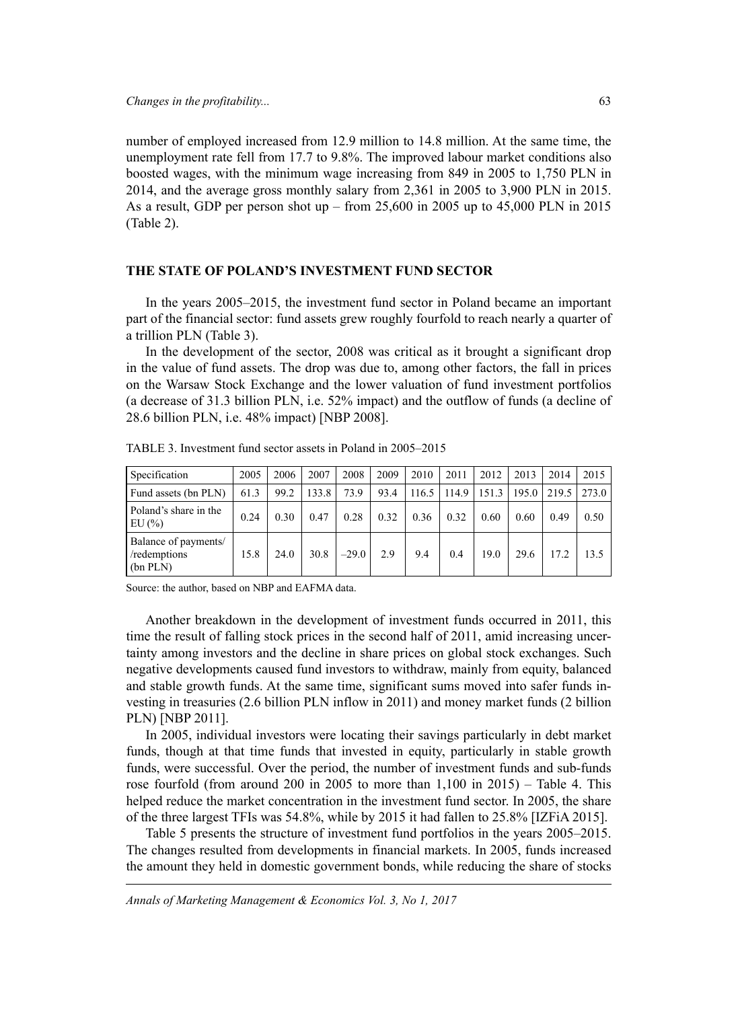*Changes in the profitability...* 63

number of employed increased from 12.9 million to 14.8 million. At the same time, the unemployment rate fell from 17.7 to 9.8%. The improved labour market conditions also boosted wages, with the minimum wage increasing from 849 in 2005 to 1,750 PLN in 2014, and the average gross monthly salary from 2,361 in 2005 to 3,900 PLN in 2015. As a result, GDP per person shot up – from 25,600 in 2005 up to 45,000 PLN in 2015 (Table 2).

#### **THE STATE OF POLAND'S INVESTMENT FUND SECTOR**

In the years 2005–2015, the investment fund sector in Poland became an important part of the financial sector: fund assets grew roughly fourfold to reach nearly a quarter of a trillion PLN (Table 3).

In the development of the sector, 2008 was critical as it brought a significant drop in the value of fund assets. The drop was due to, among other factors, the fall in prices on the Warsaw Stock Exchange and the lower valuation of fund investment portfolios (a decrease of 31.3 billion PLN, i.e. 52% impact) and the outflow of funds (a decline of 28.6 billion PLN, i.e. 48% impact) [NBP 2008].

| Specification                                    | 2005 | 2006 | 2007  | 2008    | 2009 | 2010  | 2011  | 2012  | 2013  | 2014  | 2015  |
|--------------------------------------------------|------|------|-------|---------|------|-------|-------|-------|-------|-------|-------|
| Fund assets (bn PLN)                             | 61.3 | 99.2 | 133.8 | 73.9    | 93.4 | 116.5 | 114.9 | 151.3 | 195.0 | 219.5 | 273.0 |
| Poland's share in the<br>EU(%)                   | 0.24 | 0.30 | 0.47  | 0.28    | 0.32 | 0.36  | 0.32  | 0.60  | 0.60  | 0.49  | 0.50  |
| Balance of payments/<br>/redemptions<br>(bn PLN) | 15.8 | 24.0 | 30.8  | $-29.0$ | 2.9  | 9.4   | 0.4   | 19.0  | 29.6  | 17.2  | 13.5  |

TABLE 3. Investment fund sector assets in Poland in 2005–2015

Source: the author, based on NBP and EAFMA data.

Another breakdown in the development of investment funds occurred in 2011, this time the result of falling stock prices in the second half of 2011, amid increasing uncertainty among investors and the decline in share prices on global stock exchanges. Such negative developments caused fund investors to withdraw, mainly from equity, balanced and stable growth funds. At the same time, significant sums moved into safer funds investing in treasuries (2.6 billion PLN inflow in 2011) and money market funds (2 billion PLN) [NBP 2011].

In 2005, individual investors were locating their savings particularly in debt market funds, though at that time funds that invested in equity, particularly in stable growth funds, were successful. Over the period, the number of investment funds and sub-funds rose fourfold (from around 200 in 2005 to more than  $1,100$  in 2015) – Table 4. This helped reduce the market concentration in the investment fund sector. In 2005, the share of the three largest TFIs was 54.8%, while by 2015 it had fallen to 25.8% [IZFiA 2015].

Table 5 presents the structure of investment fund portfolios in the years 2005–2015. The changes resulted from developments in financial markets. In 2005, funds increased the amount they held in domestic government bonds, while reducing the share of stocks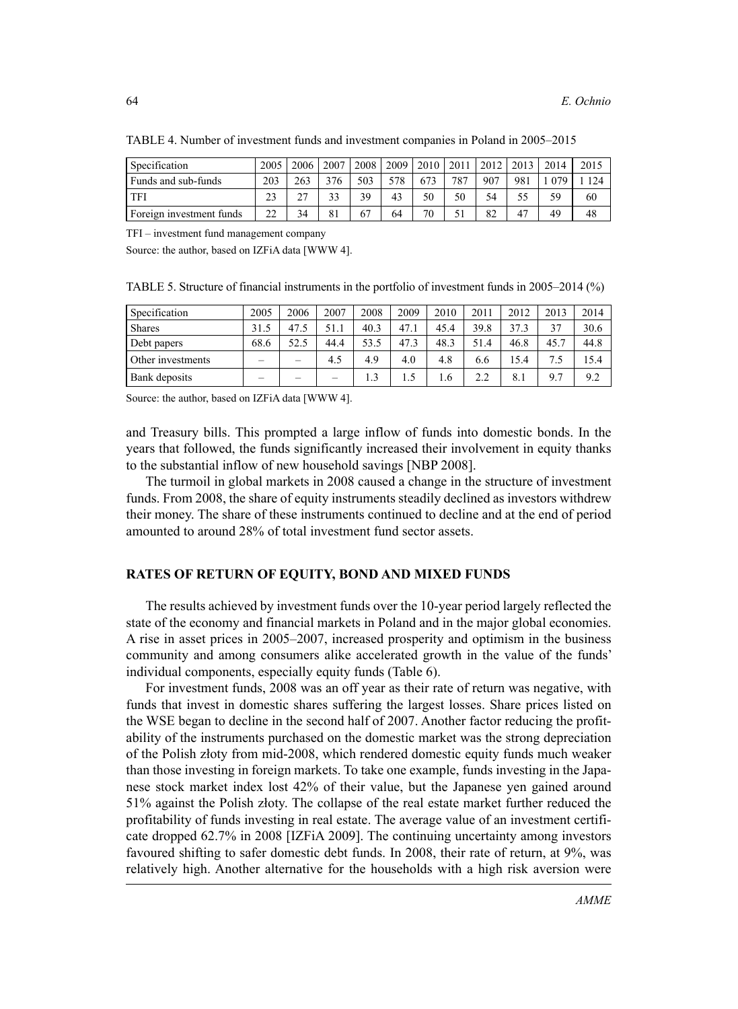| Specification            | 2005 | 2006   | 2007 | 2008 | 2009 | 2010 | 2011 | 2012 | 2013           | 2014 | 2015 |
|--------------------------|------|--------|------|------|------|------|------|------|----------------|------|------|
| Funds and sub-funds      | 203  | 263    | 376  | 503  | 578  | 673  | 787  | 907  | 981            | 079  | 124  |
| TFI                      | 23   | $\sim$ | 33   | 39   | 43   | 50   | 50   | 54   |                | 59   | 60   |
| Foreign investment funds | 22   | 34     | 81   | 67   | 64   | 70   |      | 82   | 4 <sup>7</sup> | 49   | 48   |

TABLE 4. Number of investment funds and investment companies in Poland in 2005–2015

TFI – investment fund management company

Source: the author, based on IZFiA data [WWW 4].

TABLE 5. Structure of financial instruments in the portfolio of investment funds in 2005–2014 (%)

| Specification     | 2005                     | 2006 | 2007 | 2008 | 2009 | 2010 | 2011 | 2012  | 2013 | 2014 |
|-------------------|--------------------------|------|------|------|------|------|------|-------|------|------|
| <b>Shares</b>     | 31.5                     | 47.5 | 51.1 | 40.3 | 47.1 | 45.4 | 39.8 | 37.3  | 37   | 30.6 |
| Debt papers       | 68.6                     | 52.5 | 44.4 | 53.5 | 47.3 | 48.3 | 51.4 | 46.8  | 45.7 | 44.8 |
| Other investments | -                        | -    | 4.5  | 4.9  | 4.0  | 4.8  | 6.6  | l 5.4 | 7.5  | 15.4 |
| Bank deposits     | $\overline{\phantom{a}}$ | -    | -    | 1.3  | 1.5  | 6.،  |      | 8.    | 9.7  | 9.2  |

Source: the author, based on IZFiA data [WWW 4].

and Treasury bills. This prompted a large inflow of funds into domestic bonds. In the years that followed, the funds significantly increased their involvement in equity thanks to the substantial inflow of new household savings [NBP 2008].

The turmoil in global markets in 2008 caused a change in the structure of investment funds. From 2008, the share of equity instruments steadily declined as investors withdrew their money. The share of these instruments continued to decline and at the end of period amounted to around 28% of total investment fund sector assets.

#### **RATES OF RETURN OF EQUITY, BOND AND MIXED FUNDS**

The results achieved by investment funds over the 10-year period largely reflected the state of the economy and financial markets in Poland and in the major global economies. A rise in asset prices in 2005–2007, increased prosperity and optimism in the business community and among consumers alike accelerated growth in the value of the funds' individual components, especially equity funds (Table 6).

For investment funds, 2008 was an off year as their rate of return was negative, with funds that invest in domestic shares suffering the largest losses. Share prices listed on the WSE began to decline in the second half of 2007. Another factor reducing the profitability of the instruments purchased on the domestic market was the strong depreciation of the Polish złoty from mid-2008, which rendered domestic equity funds much weaker than those investing in foreign markets. To take one example, funds investing in the Japanese stock market index lost 42% of their value, but the Japanese yen gained around 51% against the Polish złoty. The collapse of the real estate market further reduced the profitability of funds investing in real estate. The average value of an investment certificate dropped 62.7% in 2008 [IZFiA 2009]. The continuing uncertainty among investors favoured shifting to safer domestic debt funds. In 2008, their rate of return, at 9%, was relatively high. Another alternative for the households with a high risk aversion were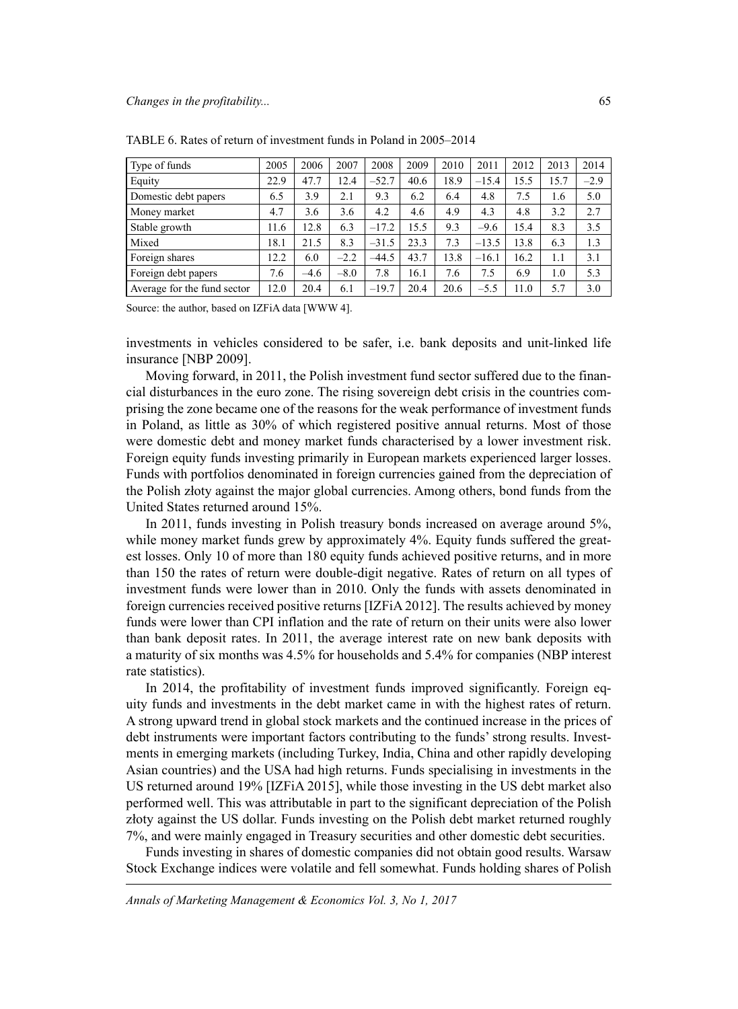| Type of funds               | 2005 | 2006   | 2007   | 2008    | 2009 | 2010 | 2011    | 2012 | 2013 | 2014   |
|-----------------------------|------|--------|--------|---------|------|------|---------|------|------|--------|
| Equity                      | 22.9 | 47.7   | 12.4   | $-52.7$ | 40.6 | 18.9 | $-15.4$ | 15.5 | 15.7 | $-2.9$ |
| Domestic debt papers        | 6.5  | 3.9    | 2.1    | 9.3     | 6.2  | 6.4  | 4.8     | 7.5  | 1.6  | 5.0    |
| Money market                | 4.7  | 3.6    | 3.6    | 4.2     | 4.6  | 4.9  | 4.3     | 4.8  | 3.2  | 2.7    |
| Stable growth               | 11.6 | 12.8   | 6.3    | $-17.2$ | 15.5 | 9.3  | $-9.6$  | 15.4 | 8.3  | 3.5    |
| Mixed                       | 18.1 | 21.5   | 8.3    | $-31.5$ | 23.3 | 7.3  | $-13.5$ | 13.8 | 6.3  | 1.3    |
| Foreign shares              | 12.2 | 6.0    | $-2.2$ | $-44.5$ | 43.7 | 13.8 | $-16.1$ | 16.2 | 1.1  | 3.1    |
| Foreign debt papers         | 7.6  | $-4.6$ | $-8.0$ | 7.8     | 16.1 | 7.6  | 7.5     | 6.9  | 1.0  | 5.3    |
| Average for the fund sector | 12.0 | 20.4   | 6.1    | $-19.7$ | 20.4 | 20.6 | $-5.5$  | 11.0 | 5.7  | 3.0    |

TABLE 6. Rates of return of investment funds in Poland in 2005–2014

Source: the author, based on IZFiA data [WWW 4].

investments in vehicles considered to be safer, i.e. bank deposits and unit-linked life insurance [NBP 2009].

Moving forward, in 2011, the Polish investment fund sector suffered due to the financial disturbances in the euro zone. The rising sovereign debt crisis in the countries comprising the zone became one of the reasons for the weak performance of investment funds in Poland, as little as 30% of which registered positive annual returns. Most of those were domestic debt and money market funds characterised by a lower investment risk. Foreign equity funds investing primarily in European markets experienced larger losses. Funds with portfolios denominated in foreign currencies gained from the depreciation of the Polish złoty against the major global currencies. Among others, bond funds from the United States returned around 15%.

In 2011, funds investing in Polish treasury bonds increased on average around 5%, while money market funds grew by approximately 4%. Equity funds suffered the greatest losses. Only 10 of more than 180 equity funds achieved positive returns, and in more than 150 the rates of return were double-digit negative. Rates of return on all types of investment funds were lower than in 2010. Only the funds with assets denominated in foreign currencies received positive returns [IZFiA 2012]. The results achieved by money funds were lower than CPI inflation and the rate of return on their units were also lower than bank deposit rates. In 2011, the average interest rate on new bank deposits with a maturity of six months was 4.5% for households and 5.4% for companies (NBP interest rate statistics).

In 2014, the profitability of investment funds improved significantly. Foreign equity funds and investments in the debt market came in with the highest rates of return. A strong upward trend in global stock markets and the continued increase in the prices of debt instruments were important factors contributing to the funds' strong results. Investments in emerging markets (including Turkey, India, China and other rapidly developing Asian countries) and the USA had high returns. Funds specialising in investments in the US returned around 19% [IZFiA 2015], while those investing in the US debt market also performed well. This was attributable in part to the significant depreciation of the Polish złoty against the US dollar. Funds investing on the Polish debt market returned roughly 7%, and were mainly engaged in Treasury securities and other domestic debt securities.

Funds investing in shares of domestic companies did not obtain good results. Warsaw Stock Exchange indices were volatile and fell somewhat. Funds holding shares of Polish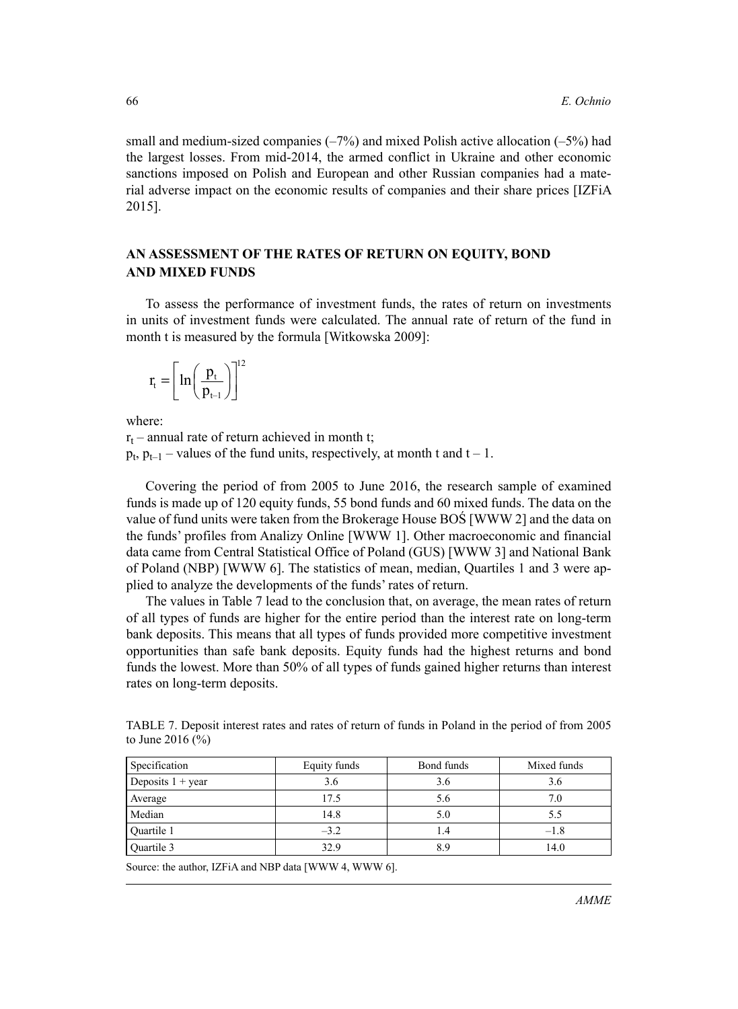small and medium-sized companies (–7%) and mixed Polish active allocation (–5%) had the largest losses. From mid-2014, the armed conflict in Ukraine and other economic sanctions imposed on Polish and European and other Russian companies had a material adverse impact on the economic results of companies and their share prices [IZFiA 2015].

## **AN ASSESSMENT OF THE RATES OF RETURN ON EQUITY, BOND AND MIXED FUNDS**

To assess the performance of investment funds, the rates of return on investments in units of investment funds were calculated. The annual rate of return of the fund in month t is measured by the formula [Witkowska 2009]:

$$
\mathbf{r}_{\mathrm{t}} = \left[ \ln \left( \frac{\mathbf{p}_{\mathrm{t}}}{\mathbf{p}_{\mathrm{t}-1}} \right) \right]^{12}
$$

where:

 $r_t$  – annual rate of return achieved in month t;  $p_t$ ,  $p_{t-1}$  – values of the fund units, respectively, at month t and t – 1.

Covering the period of from 2005 to June 2016, the research sample of examined funds is made up of 120 equity funds, 55 bond funds and 60 mixed funds. The data on the value of fund units were taken from the Brokerage House BOŚ [WWW 2] and the data on the funds' profiles from Analizy Online [WWW 1]. Other macroeconomic and financial data came from Central Statistical Office of Poland (GUS) [WWW 3] and National Bank of Poland (NBP) [WWW 6]. The statistics of mean, median, Quartiles 1 and 3 were applied to analyze the developments of the funds' rates of return.

The values in Table 7 lead to the conclusion that, on average, the mean rates of return of all types of funds are higher for the entire period than the interest rate on long-term bank deposits. This means that all types of funds provided more competitive investment opportunities than safe bank deposits. Equity funds had the highest returns and bond funds the lowest. More than 50% of all types of funds gained higher returns than interest rates on long-term deposits.

| TABLE 7. Deposit interest rates and rates of return of funds in Poland in the period of from 2005 |  |  |  |  |
|---------------------------------------------------------------------------------------------------|--|--|--|--|
| to June 2016 $(\% )$                                                                              |  |  |  |  |

| Specification              | Equity funds | Bond funds | Mixed funds |
|----------------------------|--------------|------------|-------------|
| Deposits $1 + \text{year}$ | 3.6          | 3.6        | 3.6         |
| Average                    | 17.5         | 5.6        | 7.0         |
| Median                     | 14.8         | 5.0        | 5.5         |
| Quartile 1                 | $-3.2$       | 1.4        | $-1.8$      |
| Quartile 3                 | 32.9         | 8.9        | 14.0        |

Source: the author, IZFiA and NBP data [WWW 4, WWW 6].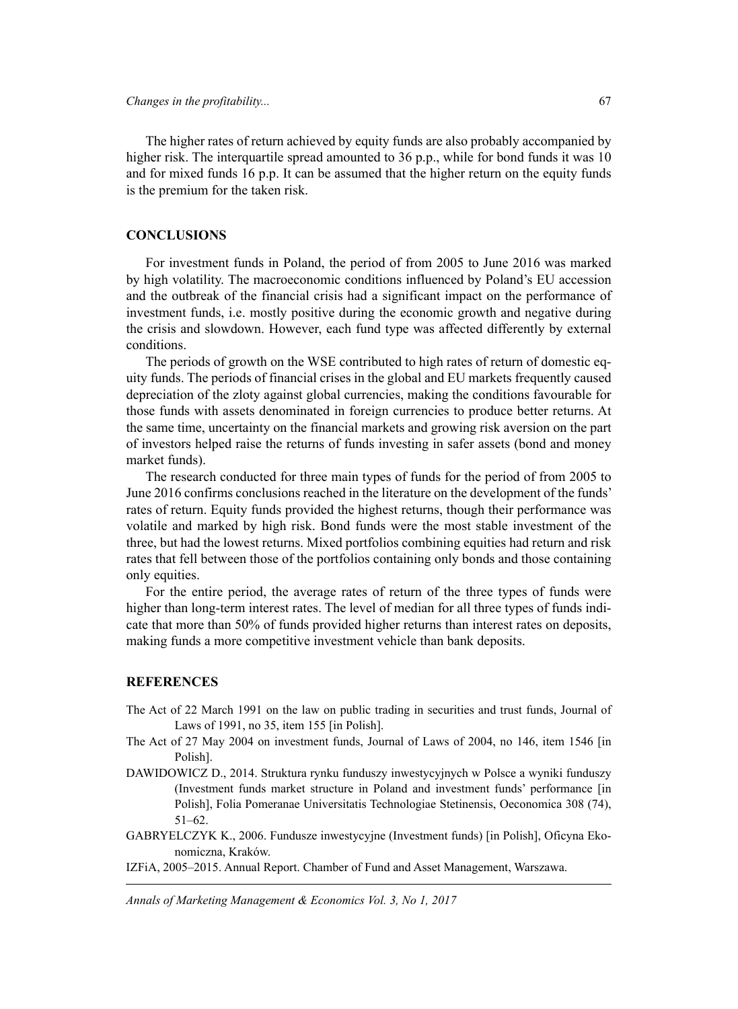The higher rates of return achieved by equity funds are also probably accompanied by higher risk. The interquartile spread amounted to 36 p.p., while for bond funds it was 10 and for mixed funds 16 p.p. It can be assumed that the higher return on the equity funds is the premium for the taken risk.

#### **CONCLUSIONS**

For investment funds in Poland, the period of from 2005 to June 2016 was marked by high volatility. The macroeconomic conditions influenced by Poland's EU accession and the outbreak of the financial crisis had a significant impact on the performance of investment funds, i.e. mostly positive during the economic growth and negative during the crisis and slowdown. However, each fund type was affected differently by external conditions.

The periods of growth on the WSE contributed to high rates of return of domestic equity funds. The periods of financial crises in the global and EU markets frequently caused depreciation of the zloty against global currencies, making the conditions favourable for those funds with assets denominated in foreign currencies to produce better returns. At the same time, uncertainty on the financial markets and growing risk aversion on the part of investors helped raise the returns of funds investing in safer assets (bond and money market funds).

The research conducted for three main types of funds for the period of from 2005 to June 2016 confirms conclusions reached in the literature on the development of the funds' rates of return. Equity funds provided the highest returns, though their performance was volatile and marked by high risk. Bond funds were the most stable investment of the three, but had the lowest returns. Mixed portfolios combining equities had return and risk rates that fell between those of the portfolios containing only bonds and those containing only equities.

For the entire period, the average rates of return of the three types of funds were higher than long-term interest rates. The level of median for all three types of funds indicate that more than 50% of funds provided higher returns than interest rates on deposits, making funds a more competitive investment vehicle than bank deposits.

#### **REFERENCES**

- The Act of 22 March 1991 on the law on public trading in securities and trust funds, Journal of Laws of 1991, no 35, item 155 [in Polish].
- The Act of 27 May 2004 on investment funds, Journal of Laws of 2004, no 146, item 1546 [in Polish].
- DAWIDOWICZ D., 2014. Struktura rynku funduszy inwestycyjnych w Polsce a wyniki funduszy (Investment funds market structure in Poland and investment funds' performance [in Polish], Folia Pomeranae Universitatis Technologiae Stetinensis, Oeconomica 308 (74), 51–62.
- GABRYELCZYK K., 2006. Fundusze inwestycyjne (Investment funds) [in Polish], Oficyna Ekonomiczna, Kraków.
- IZFiA, 2005–2015. Annual Report. Chamber of Fund and Asset Management, Warszawa.